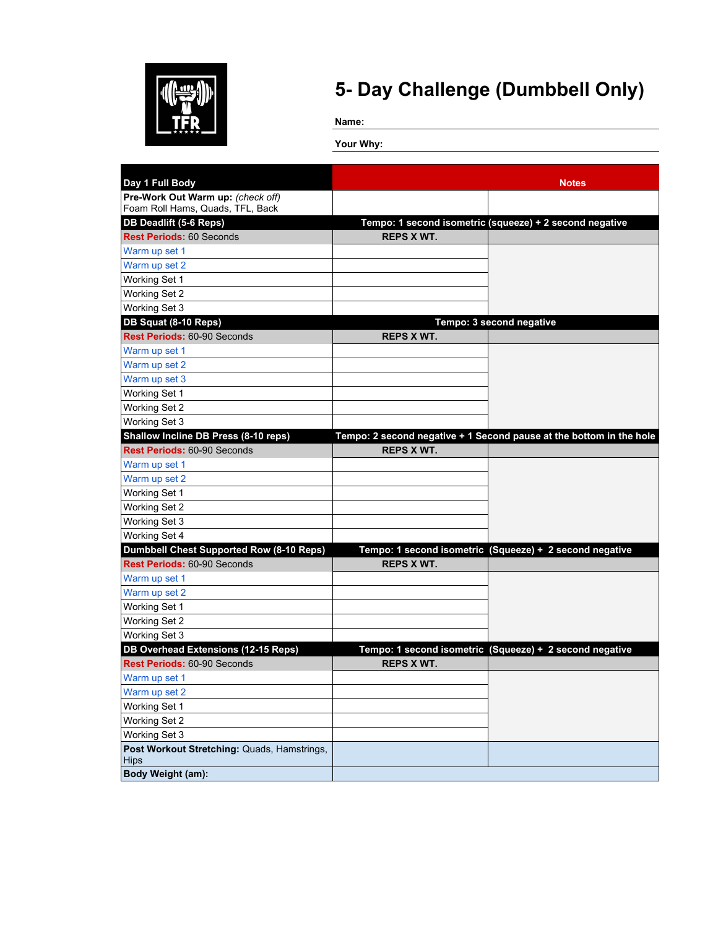

**Name:**

| Day 1 Full Body                                 |                   | <b>Notes</b>                                                        |
|-------------------------------------------------|-------------------|---------------------------------------------------------------------|
| Pre-Work Out Warm up: (check off)               |                   |                                                                     |
| Foam Roll Hams, Quads, TFL, Back                |                   |                                                                     |
| <b>DB Deadlift (5-6 Reps)</b>                   |                   | Tempo: 1 second isometric (squeeze) + 2 second negative             |
| <b>Rest Periods: 60 Seconds</b>                 | <b>REPS X WT.</b> |                                                                     |
| Warm up set 1                                   |                   |                                                                     |
| Warm up set 2                                   |                   |                                                                     |
| Working Set 1                                   |                   |                                                                     |
| Working Set 2                                   |                   |                                                                     |
| Working Set 3                                   |                   |                                                                     |
| DB Squat (8-10 Reps)                            |                   | Tempo: 3 second negative                                            |
| Rest Periods: 60-90 Seconds                     | <b>REPS X WT.</b> |                                                                     |
| Warm up set 1                                   |                   |                                                                     |
| Warm up set 2                                   |                   |                                                                     |
| Warm up set 3                                   |                   |                                                                     |
| <b>Working Set 1</b>                            |                   |                                                                     |
| Working Set 2                                   |                   |                                                                     |
| Working Set 3                                   |                   |                                                                     |
| Shallow Incline DB Press (8-10 reps)            |                   | Tempo: 2 second negative + 1 Second pause at the bottom in the hole |
| Rest Periods: 60-90 Seconds                     | <b>REPS X WT.</b> |                                                                     |
| Warm up set 1                                   |                   |                                                                     |
| Warm up set 2                                   |                   |                                                                     |
| Working Set 1                                   |                   |                                                                     |
| Working Set 2                                   |                   |                                                                     |
| Working Set 3                                   |                   |                                                                     |
| Working Set 4                                   |                   |                                                                     |
| <b>Dumbbell Chest Supported Row (8-10 Reps)</b> |                   | Tempo: 1 second isometric (Squeeze) + 2 second negative             |
| <b>Rest Periods: 60-90 Seconds</b>              | <b>REPS X WT.</b> |                                                                     |
| Warm up set 1                                   |                   |                                                                     |
| Warm up set 2                                   |                   |                                                                     |
| Working Set 1                                   |                   |                                                                     |
| Working Set 2                                   |                   |                                                                     |
| Working Set 3                                   |                   |                                                                     |
| <b>DB Overhead Extensions (12-15 Reps)</b>      |                   | Tempo: 1 second isometric (Squeeze) + 2 second negative             |
| Rest Periods: 60-90 Seconds                     | <b>REPS X WT.</b> |                                                                     |
| Warm up set 1                                   |                   |                                                                     |
| Warm up set 2                                   |                   |                                                                     |
| Working Set 1                                   |                   |                                                                     |
| Working Set 2                                   |                   |                                                                     |
| Working Set 3                                   |                   |                                                                     |
| Post Workout Stretching: Quads, Hamstrings,     |                   |                                                                     |
| <b>Hips</b>                                     |                   |                                                                     |
| <b>Body Weight (am):</b>                        |                   |                                                                     |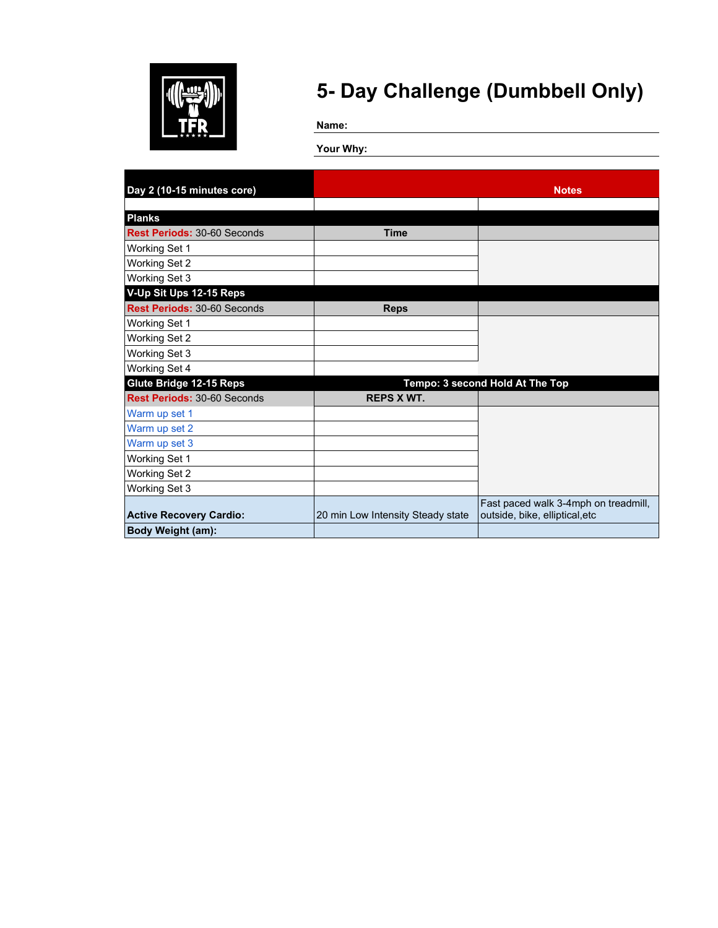

**Name:**

| Day 2 (10-15 minutes core)         |                                   | <b>Notes</b>                         |
|------------------------------------|-----------------------------------|--------------------------------------|
|                                    |                                   |                                      |
| <b>Planks</b>                      |                                   |                                      |
| Rest Periods: 30-60 Seconds        | <b>Time</b>                       |                                      |
| Working Set 1                      |                                   |                                      |
| Working Set 2                      |                                   |                                      |
| Working Set 3                      |                                   |                                      |
| V-Up Sit Ups 12-15 Reps            |                                   |                                      |
| <b>Rest Periods: 30-60 Seconds</b> | <b>Reps</b>                       |                                      |
| Working Set 1                      |                                   |                                      |
| <b>Working Set 2</b>               |                                   |                                      |
| Working Set 3                      |                                   |                                      |
| Working Set 4                      |                                   |                                      |
| <b>Glute Bridge 12-15 Reps</b>     |                                   | Tempo: 3 second Hold At The Top      |
| Rest Periods: 30-60 Seconds        | <b>REPS X WT.</b>                 |                                      |
| Warm up set 1                      |                                   |                                      |
| Warm up set 2                      |                                   |                                      |
| Warm up set 3                      |                                   |                                      |
| Working Set 1                      |                                   |                                      |
| Working Set 2                      |                                   |                                      |
| Working Set 3                      |                                   |                                      |
|                                    |                                   | Fast paced walk 3-4mph on treadmill, |
| <b>Active Recovery Cardio:</b>     | 20 min Low Intensity Steady state | outside, bike, elliptical, etc       |
| Body Weight (am):                  |                                   |                                      |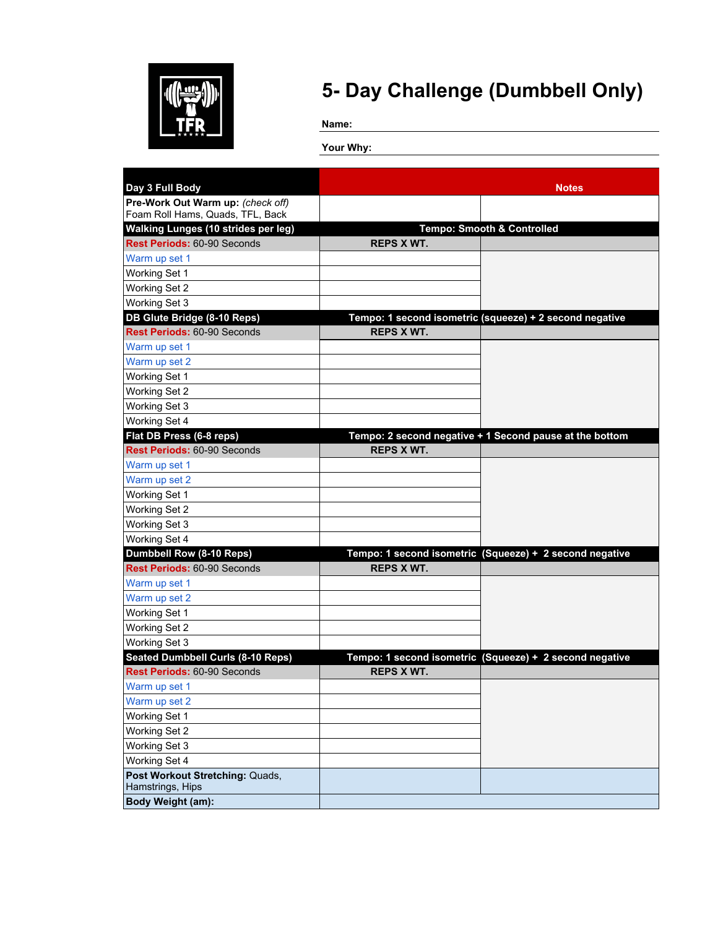

**Name:**

| Day 3 Full Body                                     |                   | <b>Notes</b>                                            |
|-----------------------------------------------------|-------------------|---------------------------------------------------------|
| Pre-Work Out Warm up: (check off)                   |                   |                                                         |
| Foam Roll Hams, Quads, TFL, Back                    |                   |                                                         |
| <b>Walking Lunges (10 strides per leg)</b>          |                   | <b>Tempo: Smooth &amp; Controlled</b>                   |
| Rest Periods: 60-90 Seconds                         | <b>REPS X WT.</b> |                                                         |
| Warm up set 1                                       |                   |                                                         |
| Working Set 1                                       |                   |                                                         |
| Working Set 2                                       |                   |                                                         |
| Working Set 3                                       |                   |                                                         |
| DB Glute Bridge (8-10 Reps)                         |                   | Tempo: 1 second isometric (squeeze) + 2 second negative |
| Rest Periods: 60-90 Seconds                         | <b>REPS X WT.</b> |                                                         |
| Warm up set 1                                       |                   |                                                         |
| Warm up set 2                                       |                   |                                                         |
| Working Set 1                                       |                   |                                                         |
| <b>Working Set 2</b>                                |                   |                                                         |
| Working Set 3                                       |                   |                                                         |
| Working Set 4                                       |                   |                                                         |
| Flat DB Press (6-8 reps)                            |                   | Tempo: 2 second negative + 1 Second pause at the bottom |
| Rest Periods: 60-90 Seconds                         | <b>REPS X WT.</b> |                                                         |
| Warm up set 1                                       |                   |                                                         |
| Warm up set 2                                       |                   |                                                         |
| Working Set 1                                       |                   |                                                         |
| Working Set 2                                       |                   |                                                         |
| Working Set 3                                       |                   |                                                         |
| Working Set 4                                       |                   |                                                         |
| <b>Dumbbell Row (8-10 Reps)</b>                     |                   | Tempo: 1 second isometric (Squeeze) + 2 second negative |
| Rest Periods: 60-90 Seconds                         | <b>REPS X WT.</b> |                                                         |
| Warm up set 1                                       |                   |                                                         |
| Warm up set 2                                       |                   |                                                         |
| Working Set 1                                       |                   |                                                         |
| Working Set 2                                       |                   |                                                         |
| Working Set 3                                       |                   |                                                         |
| <b>Seated Dumbbell Curls (8-10 Reps)</b>            |                   | Tempo: 1 second isometric (Squeeze) + 2 second negative |
| <b>Rest Periods: 60-90 Seconds</b>                  | <b>REPS X WT.</b> |                                                         |
| Warm up set 1                                       |                   |                                                         |
| Warm up set 2                                       |                   |                                                         |
| Working Set 1                                       |                   |                                                         |
| Working Set 2                                       |                   |                                                         |
| Working Set 3                                       |                   |                                                         |
| Working Set 4                                       |                   |                                                         |
| Post Workout Stretching: Quads,<br>Hamstrings, Hips |                   |                                                         |
| <b>Body Weight (am):</b>                            |                   |                                                         |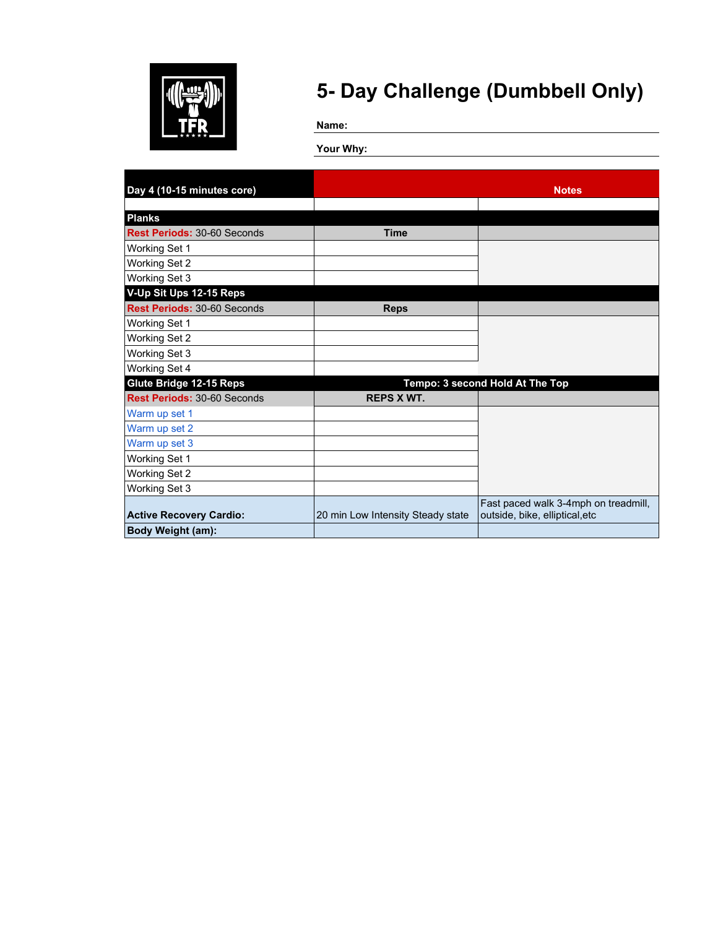

**Name:**

| Day 4 (10-15 minutes core)         |                                   | <b>Notes</b>                         |
|------------------------------------|-----------------------------------|--------------------------------------|
|                                    |                                   |                                      |
| <b>Planks</b>                      |                                   |                                      |
| <b>Rest Periods: 30-60 Seconds</b> | <b>Time</b>                       |                                      |
| Working Set 1                      |                                   |                                      |
| Working Set 2                      |                                   |                                      |
| Working Set 3                      |                                   |                                      |
| V-Up Sit Ups 12-15 Reps            |                                   |                                      |
| Rest Periods: 30-60 Seconds        | <b>Reps</b>                       |                                      |
| <b>Working Set 1</b>               |                                   |                                      |
| Working Set 2                      |                                   |                                      |
| Working Set 3                      |                                   |                                      |
| Working Set 4                      |                                   |                                      |
| <b>Glute Bridge 12-15 Reps</b>     |                                   | Tempo: 3 second Hold At The Top      |
| Rest Periods: 30-60 Seconds        | <b>REPS X WT.</b>                 |                                      |
| Warm up set 1                      |                                   |                                      |
| Warm up set 2                      |                                   |                                      |
| Warm up set 3                      |                                   |                                      |
| Working Set 1                      |                                   |                                      |
| Working Set 2                      |                                   |                                      |
| Working Set 3                      |                                   |                                      |
|                                    |                                   | Fast paced walk 3-4mph on treadmill, |
| <b>Active Recovery Cardio:</b>     | 20 min Low Intensity Steady state | outside, bike, elliptical, etc       |
| <b>Body Weight (am):</b>           |                                   |                                      |